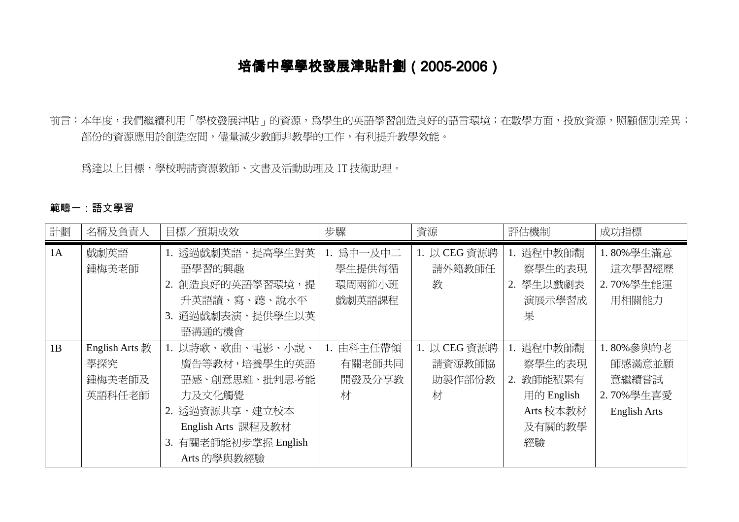# 培僑中學學校發展津貼計劃 (2005-2006)

前言:本年度,我們繼續利用「學校發展津貼」的資源,為學生的英語學習創造良好的語言環境;在數學方面,投放資源,照顧個別差異; 部份的資源應用於創造空間,儘量減少教師非教學的工作,有利提升教學效能。

為達以上目標,學校聘請資源教師、文書及活動助理及 IT 技術助理。

#### 範疇一:語文學習

| 計劃 | 名稱及負責人                                    | 目標/預期成效                                                                                                                                     | 步驟                                      | 資源                                    | 評估機制                                                                        | 成功指標                                                             |
|----|-------------------------------------------|---------------------------------------------------------------------------------------------------------------------------------------------|-----------------------------------------|---------------------------------------|-----------------------------------------------------------------------------|------------------------------------------------------------------|
| 1A | 戲劇英語<br>鍾梅美老師                             | 1. 透過戲劇英語,提高學生對英<br>語學習的興趣<br>2. 創造良好的英語學習環境,提<br>升英語讀、寫、聽、說水平<br>通過戲劇表演,提供學生以英<br>3.<br>語溝通的機會                                             | 1. 為中一及中二<br>學生提供每循<br>環周兩節小班<br>戲劇英語課程 | 1. 以 CEG 資源聘<br>請外籍教師任<br>教           | 過程中教師觀<br>1.<br>察學生的表現<br>2. 學生以戲劇表<br>演展示學習成<br>果                          | 1.80%學生滿意<br>這次學習經歷<br>2.70%學生能運<br>用相關能力                        |
| 1B | English Arts 教<br>學探究<br>鍾梅美老師及<br>英語科任老師 | 1. 以詩歌、歌曲、電影、小說、<br>廣告等教材,培養學生的英語<br>語感、創意思維、批判思考能<br>力及文化觸覺<br>2. 透過資源共享,建立校本<br>English Arts 課程及教材<br>3. 有關老師能初步掌握 English<br>Arts 的學與教經驗 | 由科主任帶領<br>有關老師共同<br>開發及分享教<br>材         | 1. 以 CEG 資源聘<br>請資源教師協<br>助製作部份教<br>材 | 過程中教師觀<br>察學生的表現<br>教師能積累有<br>2.<br>用的 English<br>Arts 校本教材<br>及有關的教學<br>經驗 | 1.80%參與的老<br>師感滿意並願<br>意繼續嘗試<br>2.70%學生喜愛<br><b>English Arts</b> |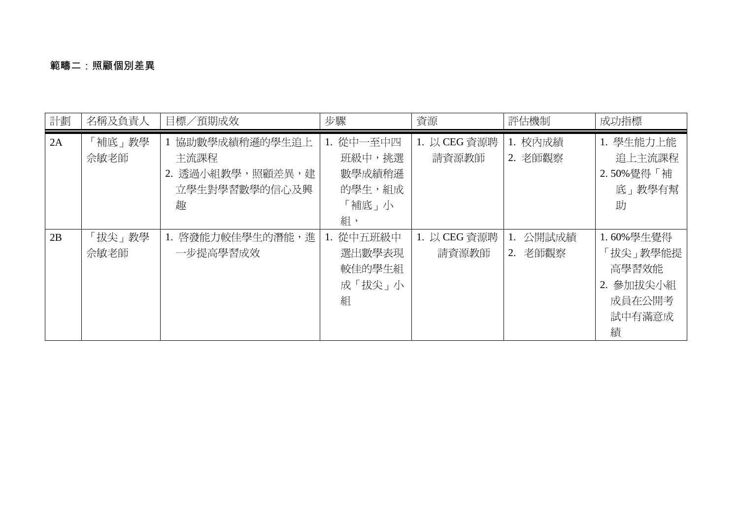## 範疇二:照顧個別差異

| 計劃 | 名稱及負責人         | 目標/預期成效                                                         | 步驟                                                     | 資源                    | 評估機制                | 成功指標                                                                 |
|----|----------------|-----------------------------------------------------------------|--------------------------------------------------------|-----------------------|---------------------|----------------------------------------------------------------------|
| 2A | 補底」教學<br>佘敏老師  | 協助數學成績稍遜的學生追上<br>主流課程<br>2. 透過小組教學,照顧差異,建<br>立學生對學習數學的信心及興<br>趣 | 1. 從中一至中四<br>班級中,挑選<br>數學成績稍遜<br>的學生,組成<br>「補底」小<br>組, | 1. 以 CEG 資源聘<br>請資源教師 | 1. 校內成績<br>2. 老師觀察  | 1. 學生能力上能<br>追上主流課程<br>2.50%覺得「補<br>底」教學有幫<br>助                      |
| 2B | 「拔尖」教學<br>佘敏老師 | 1. 啓發能力較佳學生的潛能,進<br>一步提高學習成效                                    | 1. 從中五班級中<br>選出數學表現<br>較佳的學生組<br>成「拔尖」小<br>組           | 1. 以 CEG 資源聘<br>請資源教師 | 公開試成績<br>老師觀察<br>2. | 1.60%學生覺得<br>「拔尖」教學能提<br>高學習效能<br>2. 參加拔尖小組<br>成員在公開考<br>試中有滿意成<br>績 |